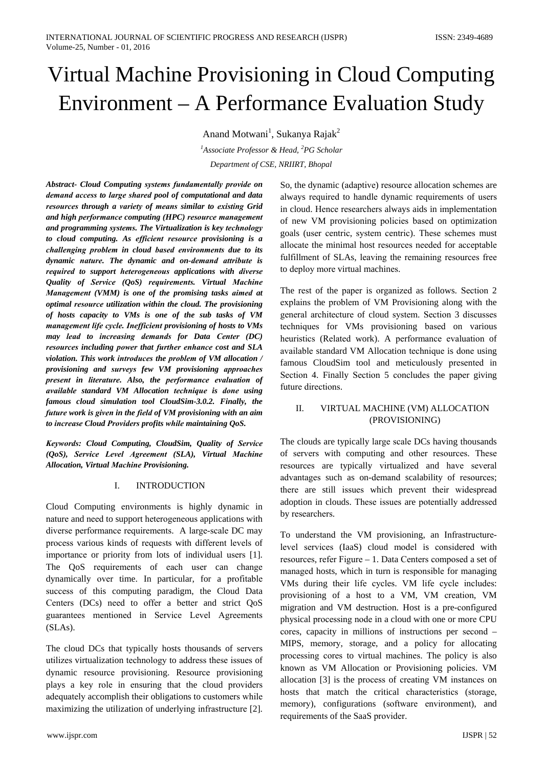# Virtual Machine Provisioning in Cloud Computing Environment – A Performance Evaluation Study

Anand Motwani<sup>1</sup>, Sukanya Rajak<sup>2</sup>

<sup>1</sup>Associate Professor & Head, <sup>2</sup>PG Scholar Department of CSE, NRIIRT, Bhopal

Abstract- Cloud Computing systems fundamentally provide on demand access to large shared pool of computational and data resources through a variety of means similar to existing Grid and high performance computing (HPC) resource management and programming systems. The Virtualization is key technology to cloud computing. As efficient resource provisioning is a challenging problem in cloud based environments due to its dynamic nature. The dynamic and on-demand attribute is required to support heterogeneous applications with diverse Quality of Service (QoS) requirements. Virtual Machine Management (VMM) is one of the promising tasks aimed at optimal resource utilization within the cloud. The provisioning of hosts capacity to VMs is one of the sub tasks of VM management life cycle. Inefficient provisioning of hosts to VMs may lead to increasing demands for Data Center (DC) resources including power that further enhance cost and SLA violation. This work introduces the problem of VM allocation / provisioning and surveys few VM provisioning approaches present in literature. Also, the performance evaluation of available standard VM Allocation technique is done using famous cloud simulation tool CloudSim-3.0.2. Finally, the future work is given in the field of VM provisioning with an aim to increase Cloud Providers profits while maintaining QoS.

Keywords: Cloud Computing, CloudSim, Quality of Service (QoS), Service Level Agreement (SLA), Virtual Machine **Allocation, Virtual Machine Provisioning.** 

#### $\mathbf{I}$ **INTRODUCTION**

Cloud Computing environments is highly dynamic in nature and need to support heterogeneous applications with diverse performance requirements. A large-scale DC may process various kinds of requests with different levels of importance or priority from lots of individual users [1]. The QoS requirements of each user can change dynamically over time. In particular, for a profitable success of this computing paradigm, the Cloud Data Centers (DCs) need to offer a better and strict QoS guarantees mentioned in Service Level Agreements  $(SLAS).$ 

The cloud DCs that typically hosts thousands of servers utilizes virtualization technology to address these issues of dynamic resource provisioning. Resource provisioning plays a key role in ensuring that the cloud providers adequately accomplish their obligations to customers while maximizing the utilization of underlying infrastructure [2].

So, the dynamic (adaptive) resource allocation schemes are always required to handle dynamic requirements of users in cloud. Hence researchers always aids in implementation of new VM provisioning policies based on optimization goals (user centric, system centric). These schemes must allocate the minimal host resources needed for acceptable fulfillment of SLAs, leaving the remaining resources free to deploy more virtual machines.

The rest of the paper is organized as follows. Section 2 explains the problem of VM Provisioning along with the general architecture of cloud system. Section 3 discusses techniques for VMs provisioning based on various heuristics (Related work). A performance evaluation of available standard VM Allocation technique is done using famous CloudSim tool and meticulously presented in Section 4. Finally Section 5 concludes the paper giving future directions.

#### $\Pi$ VIRTUAL MACHINE (VM) ALLOCATION (PROVISIONING)

The clouds are typically large scale DCs having thousands of servers with computing and other resources. These resources are typically virtualized and have several advantages such as on-demand scalability of resources; there are still issues which prevent their widespread adoption in clouds. These issues are potentially addressed by researchers.

To understand the VM provisioning, an Infrastructurelevel services (IaaS) cloud model is considered with resources, refer Figure – 1. Data Centers composed a set of managed hosts, which in turn is responsible for managing VMs during their life cycles. VM life cycle includes: provisioning of a host to a VM, VM creation, VM migration and VM destruction. Host is a pre-configured physical processing node in a cloud with one or more CPU cores, capacity in millions of instructions per second -MIPS, memory, storage, and a policy for allocating processing cores to virtual machines. The policy is also known as VM Allocation or Provisioning policies. VM allocation [3] is the process of creating VM instances on hosts that match the critical characteristics (storage, memory), configurations (software environment), and requirements of the SaaS provider.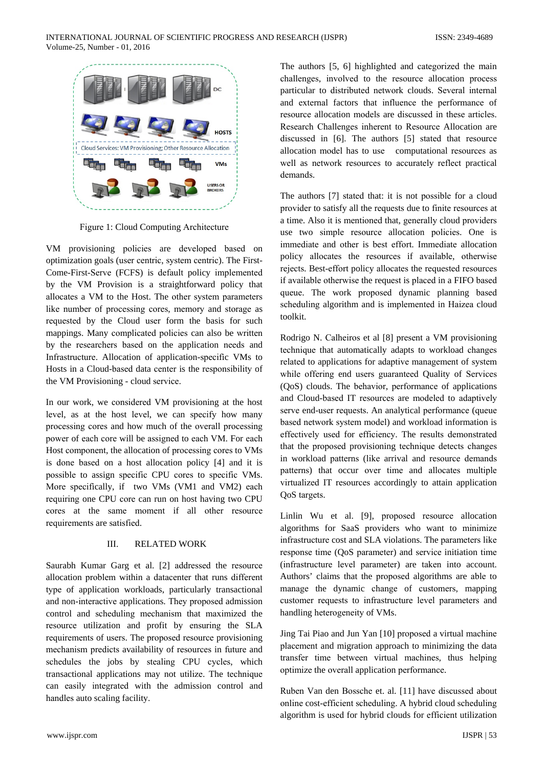

Figure 1: Cloud Computing Architecture

VM provisioning policies are developed based on optimization goals (user centric, system centric). The First-Come-First-Serve (FCFS) is default policy implemented by the VM Provision is a straightforward policy that allocates a VM to the Host. The other system parameters like number of processing cores, memory and storage as requested by the Cloud user form the basis for such mappings. Many complicated policies can also be written by the researchers based on the application needs and Infrastructure. Allocation of application-specific VMs to Hosts in a Cloud-based data center is the responsibility of the VM Provisioning - cloud service.

In our work, we considered VM provisioning at the host level, as at the host level, we can specify how many processing cores and how much of the overall processing power of each core will be assigned to each VM. For each Host component, the allocation of processing cores to VMs is done based on a host allocation policy [4] and it is possible to assign specific CPU cores to specific VMs. More specifically, if two VMs (VM1 and VM2) each requiring one CPU core can run on host having two CPU cores at the same moment if all other resource requirements are satisfied.

#### III. **RELATED WORK**

Saurabh Kumar Garg et al. [2] addressed the resource allocation problem within a datacenter that runs different type of application workloads, particularly transactional and non-interactive applications. They proposed admission control and scheduling mechanism that maximized the resource utilization and profit by ensuring the SLA requirements of users. The proposed resource provisioning mechanism predicts availability of resources in future and schedules the jobs by stealing CPU cycles, which transactional applications may not utilize. The technique can easily integrated with the admission control and handles auto scaling facility.

The authors [5, 6] highlighted and categorized the main challenges, involved to the resource allocation process particular to distributed network clouds. Several internal and external factors that influence the performance of resource allocation models are discussed in these articles. Research Challenges inherent to Resource Allocation are discussed in [6]. The authors [5] stated that resource allocation model has to use computational resources as well as network resources to accurately reflect practical demands.

The authors [7] stated that: it is not possible for a cloud provider to satisfy all the requests due to finite resources at a time. Also it is mentioned that, generally cloud providers use two simple resource allocation policies. One is immediate and other is best effort. Immediate allocation policy allocates the resources if available, otherwise rejects. Best-effort policy allocates the requested resources if available otherwise the request is placed in a FIFO based queue. The work proposed dynamic planning based scheduling algorithm and is implemented in Haizea cloud toolkit.

Rodrigo N. Calheiros et al [8] present a VM provisioning technique that automatically adapts to workload changes related to applications for adaptive management of system while offering end users guaranteed Quality of Services (QoS) clouds. The behavior, performance of applications and Cloud-based IT resources are modeled to adaptively serve end-user requests. An analytical performance (queue based network system model) and workload information is effectively used for efficiency. The results demonstrated that the proposed provisioning technique detects changes in workload patterns (like arrival and resource demands patterns) that occur over time and allocates multiple virtualized IT resources accordingly to attain application QoS targets.

Linlin Wu et al. [9], proposed resource allocation algorithms for SaaS providers who want to minimize infrastructure cost and SLA violations. The parameters like response time (QoS parameter) and service initiation time (infrastructure level parameter) are taken into account. Authors' claims that the proposed algorithms are able to manage the dynamic change of customers, mapping customer requests to infrastructure level parameters and handling heterogeneity of VMs.

Jing Tai Piao and Jun Yan [10] proposed a virtual machine placement and migration approach to minimizing the data transfer time between virtual machines, thus helping optimize the overall application performance.

Ruben Van den Bossche et. al. [11] have discussed about online cost-efficient scheduling. A hybrid cloud scheduling algorithm is used for hybrid clouds for efficient utilization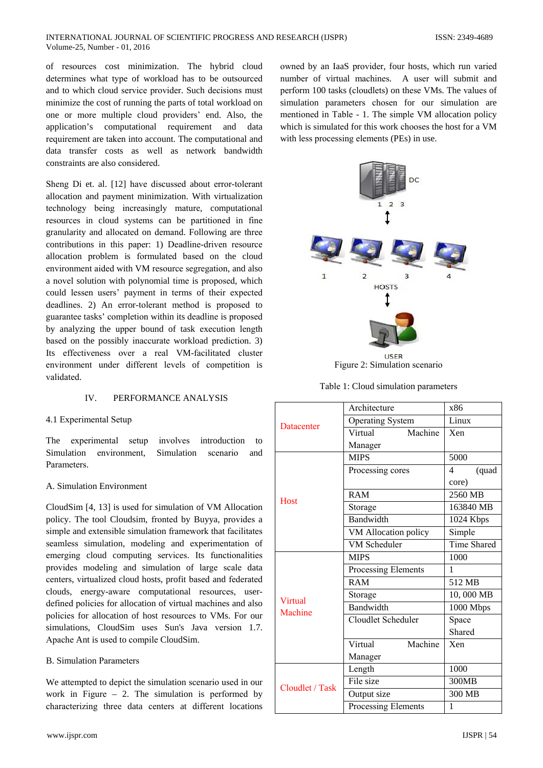#### INTERNATIONAL JOURNAL OF SCIENTIFIC PROGRESS AND RESEARCH (IJSPR) Volume-25, Number - 01, 2016

of resources cost minimization. The hybrid cloud determines what type of workload has to be outsourced and to which cloud service provider. Such decisions must minimize the cost of running the parts of total workload on one or more multiple cloud providers' end. Also, the application's computational requirement and data requirement are taken into account. The computational and data transfer costs as well as network bandwidth constraints are also considered.

Sheng Di et. al. [12] have discussed about error-tolerant allocation and payment minimization. With virtualization technology being increasingly mature, computational resources in cloud systems can be partitioned in fine granularity and allocated on demand. Following are three contributions in this paper: 1) Deadline-driven resource allocation problem is formulated based on the cloud environment aided with VM resource segregation, and also a novel solution with polynomial time is proposed, which could lessen users' payment in terms of their expected deadlines. 2) An error-tolerant method is proposed to guarantee tasks' completion within its deadline is proposed by analyzing the upper bound of task execution length based on the possibly inaccurate workload prediction. 3) Its effectiveness over a real VM-facilitated cluster environment under different levels of competition is validated.

#### $\mathbf{I} \mathbf{V}$ PERFORMANCE ANALYSIS

### 4.1 Experimental Setup

The experimental setup involves introduction  $f<sub>O</sub>$ Simulation environment. Simulation scenario and Parameters

### A. Simulation Environment

CloudSim [4, 13] is used for simulation of VM Allocation policy. The tool Cloudsim, fronted by Buyya, provides a simple and extensible simulation framework that facilitates seamless simulation, modeling and experimentation of emerging cloud computing services. Its functionalities provides modeling and simulation of large scale data centers, virtualized cloud hosts, profit based and federated clouds, energy-aware computational resources, userdefined policies for allocation of virtual machines and also policies for allocation of host resources to VMs. For our simulations, CloudSim uses Sun's Java version 1.7. Apache Ant is used to compile CloudSim.

## **B.** Simulation Parameters

We attempted to depict the simulation scenario used in our work in Figure  $-2$ . The simulation is performed by characterizing three data centers at different locations

owned by an IaaS provider, four hosts, which run varied number of virtual machines. A user will submit and perform 100 tasks (cloudlets) on these VMs. The values of simulation parameters chosen for our simulation are mentioned in Table - 1. The simple VM allocation policy which is simulated for this work chooses the host for a VM with less processing elements (PEs) in use.



Figure 2: Simulation scenario

Table 1: Cloud simulation parameters

| <b>Datacenter</b>         | Architecture            | x86         |
|---------------------------|-------------------------|-------------|
|                           | <b>Operating System</b> | Linux       |
|                           | Virtual<br>Machine      | Xen         |
|                           | Manager                 |             |
| <b>Host</b>               | <b>MIPS</b>             | 5000        |
|                           | Processing cores        | 4<br>(quad  |
|                           |                         | core)       |
|                           | <b>RAM</b>              | 2560 MB     |
|                           | Storage                 | 163840 MB   |
|                           | Bandwidth               | 1024 Kbps   |
|                           | VM Allocation policy    | Simple      |
|                           | <b>VM Scheduler</b>     | Time Shared |
| <b>Virtual</b><br>Machine | <b>MIPS</b>             | 1000        |
|                           | Processing Elements     | 1           |
|                           | <b>RAM</b>              | 512 MB      |
|                           | Storage                 | 10,000 MB   |
|                           | Bandwidth               | 1000 Mbps   |
|                           | Cloudlet Scheduler      | Space       |
|                           |                         | Shared      |
|                           | Machine<br>Virtual      | <b>Xen</b>  |
|                           | Manager                 |             |
| Cloudlet / Task           | Length                  | 1000        |
|                           | File size               | 300MB       |
|                           | Output size             | 300 MB      |
|                           | Processing Elements     | 1           |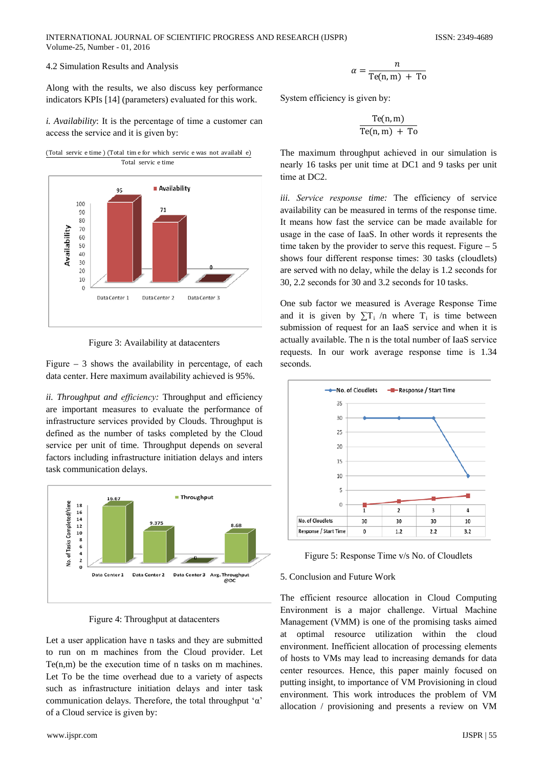Along with the results, we also discuss key performance indicators KPIs [14] (parameters) evaluated for this work.

*i. Availability*: It is the percentage of time a customer can access the service and it is given by:



Figure 3: Availability at datacenters

Figure  $-3$  shows the availability in percentage, of each data center. Here maximum availability achieved is 95%.

ii. Throughput and efficiency: Throughput and efficiency are important measures to evaluate the performance of infrastructure services provided by Clouds. Throughput is defined as the number of tasks completed by the Cloud service per unit of time. Throughput depends on several factors including infrastructure initiation delays and inters task communication delays.



Figure 4: Throughput at datacenters

Let a user application have n tasks and they are submitted to run on m machines from the Cloud provider. Let  $Te(n,m)$  be the execution time of n tasks on m machines. Let To be the time overhead due to a variety of aspects such as infrastructure initiation delays and inter task communication delays. Therefore, the total throughput ' $\alpha$ ' of a Cloud service is given by:

$$
\alpha = \frac{n}{\text{Te}(n, m) + \text{To}}
$$

System efficiency is given by:

$$
\frac{\text{Te}(n, m)}{\text{Te}(n, m) + \text{To}}
$$

The maximum throughput achieved in our simulation is nearly 16 tasks per unit time at DC1 and 9 tasks per unit time at DC2.

iii. Service response time: The efficiency of service availability can be measured in terms of the response time. It means how fast the service can be made available for usage in the case of IaaS. In other words it represents the time taken by the provider to serve this request. Figure  $-5$ shows four different response times: 30 tasks (cloudlets) are served with no delay, while the delay is 1.2 seconds for 30, 2.2 seconds for 30 and 3.2 seconds for 10 tasks.

One sub factor we measured is Average Response Time and it is given by  $\Sigma T_i$  /n where  $T_i$  is time between submission of request for an IaaS service and when it is actually available. The n is the total number of IaaS service requests. In our work average response time is 1.34 seconds.



Figure 5: Response Time v/s No. of Cloudlets

## 5. Conclusion and Future Work

The efficient resource allocation in Cloud Computing Environment is a major challenge. Virtual Machine Management (VMM) is one of the promising tasks aimed optimal resource utilization within the cloud at environment. Inefficient allocation of processing elements of hosts to VMs may lead to increasing demands for data center resources. Hence, this paper mainly focused on putting insight, to importance of VM Provisioning in cloud environment. This work introduces the problem of VM allocation / provisioning and presents a review on VM